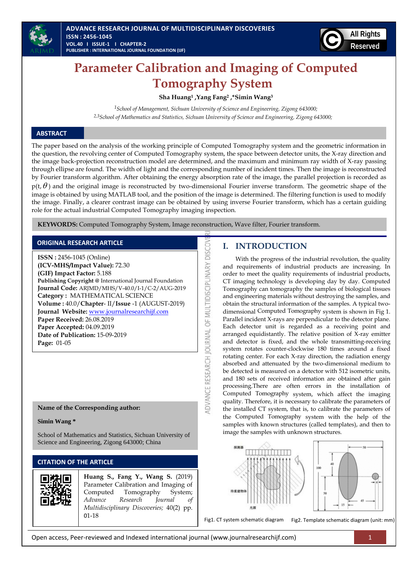



# **Parameter Calibration and Imaging of Computed Tomography System**

**Sha Huang<sup>1</sup> ,Yang Fang<sup>2</sup> ,\*Simin Wang<sup>3</sup>**

*<sup>1</sup>School of Management, Sichuan University of Science and Engineering, Zigong 643000; 2,3School of Mathematics and Statistics, Sichuan University of Science and Engineering, Zigong 643000;*

# **ABSTRACT**

The paper based on the analysis of the working principle of Computed Tomography system and the geometric information in the question, the revolving center of Computed Tomography system, the space between detector units, the X-ray direction and the image back-projection reconstruction model are determined, and the maximum and minimum ray width of X-ray passing through ellipse are found. The width of light and the corresponding number of incident times. Then the image is reconstructed by Fourier transform algorithm. After obtaining the energy absorption rate of the image, the parallel projection is recorded as

 $p(t, \theta)$  and the original image is reconstructed by two-dimensional Fourier inverse transform. The geometric shape of the image is obtained by using MATLAB tool, and the position of the image is determined. The filtering function is used to modify the image. Finally, a clearer contrast image can be obtained by using inverse Fourier transform, which has a certain guiding role for the actual industrial Computed Tomography imaging inspection.

ADVANCE RESEARCH JOURNAL OF MULTIDISCIPLINARY DISCOV

**KEYWORDS:** Computed Tomography System, Image reconstruction, Wave filter, Fourier transform.

## **ORIGINAL RESEARCH ARTICLE**

**ISSN :** 2456-1045 (Online) **(ICV-MHS/Impact Value):** 72.30 **(GIF) Impact Factor:** 5.188 **Publishing Copyright @** International Journal Foundation **Journal Code:** ARJMD/MHS/V-40.0/I-1/C-2/AUG-2019 **Category :** MATHEMATICAL SCIENCE **Volume :** 40.0/**Chapter**- II/**Issue** -1 (AUGUST-2019) **Journal Website:** [www.journalresearchijf.com](http://www.journalresearchijf.com/) **Paper Received:** 26.08.2019 **Paper Accepted:** 04.09.2019 **Date of Publication:** 15-09-2019 **Page:** 01-05

### **Name of the Corresponding author:**

#### **Simin Wang \***

School of Mathematics and Statistics, Sichuan University of Science and Engineering, Zigong 643000; China

# **CITATION OF THE ARTICLE**

**Huang S., Fang Y., Wang S.** (2019) Parameter Calibration and Imaging of Computed Tomography System; *Advance Research Journal of Multidisciplinary Discoveries;* 40(2) pp. 01-18

# **I. INTRODUCTION**

With the progress of the industrial revolution, the quality and requirements of industrial products are increasing. In order to meet the quality requirements of industrial products, CT imaging technology is developing day by day. Computed Tomography can tomography the samples of biological tissues and engineering materials without destroying the samples, and obtain the structural information of the samples. A typical twodimensional Computed Tomography system is shown in Fig 1. Parallel incident X-rays are perpendicular to the detector plane. Each detector unit is regarded as a receiving point and arranged equidistantly. The relative position of X-ray emitter and detector is fixed, and the whole transmitting-receiving system rotates counter-clockwise 180 times around a fixed rotating center. For each X-ray direction, the radiation energy absorbed and attenuated by the two-dimensional medium to be detected is measured on a detector with 512 isometric units, and 180 sets of received information are obtained after gain processing.There are often errors in the installation of Computed Tomography system, which affect the imaging quality. Therefore, it is necessary to calibrate the parameters of the installed CT system, that is, to calibrate the parameters of the Computed Tomography system with the help of the samples with known structures (called templates), and then to image the samples with unknown structures.



Fig1. CT system schematic diagram Fig2. Template schematic diagram (unit: mm)

Open access, Peer-reviewed and Indexed international journal (www.journalresearchijf.com) 1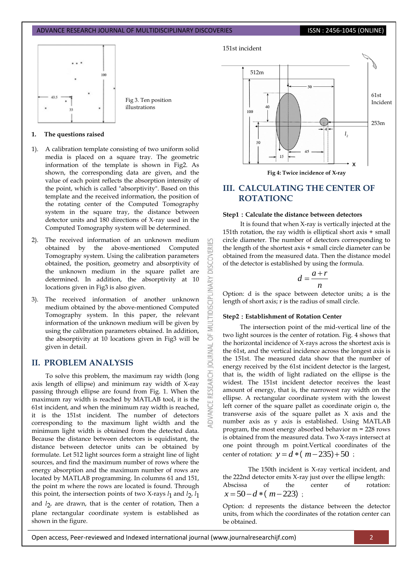Fig 3. Ten position illustrations



**1. The questions raised**

- 1). A calibration template consisting of two uniform solid media is placed on a square tray. The geometric information of the template is shown in Fig2. As shown, the corresponding data are given, and the value of each point reflects the absorption intensity of the point, which is called "absorptivity". Based on this template and the received information, the position of the rotating center of the Computed Tomography system in the square tray, the distance between detector units and 180 directions of X-ray used in the Computed Tomography system will be determined.
- The received information of an unknown medium obtained by the above-mentioned Computed Tomography system. Using the calibration parameters obtained, the position, geometry and absorptivity of the unknown medium in the square pallet are determined. In addition, the absorptivity at 10 locations given in Fig3 is also given.
- 3). The received information of another unknown medium obtained by the above-mentioned Computed Tomography system. In this paper, the relevant information of the unknown medium will be given by using the calibration parameters obtained. In addition, the absorptivity at 10 locations given in Fig3 will be given in detail.

# **II. PROBLEM ANALYSIS**

To solve this problem, the maximum ray width (long axis length of ellipse) and minimum ray width of X-ray passing through ellipse are found from Fig. 1. When the maximum ray width is reached by MATLAB tool, it is the 61st incident, and when the minimum ray width is reached, it is the 151st incident. The number of detectors corresponding to the maximum light width and the minimum light width is obtained from the detected data. Because the distance between detectors is equidistant, the distance between detector units can be obtained by formulate. Let 512 light sources form a straight line of light sources, and find the maximum number of rows where the energy absorption and the maximum number of rows are located by MATLAB programming. In columns 61 and 151, the point m where the rows are located is found. Through this point, the intersection points of two X-rays  $l_1$  and  $l_2$ ,  $l_1$ and *l*2 , are drawn, that is the center of rotation, Then a plane rectangular coordinate system is established as shown in the figure.



**Fig 4: Twice incidence of X-ray**

# **III. CALCULATING THE CENTER OF ROTATIONC**

#### **Step1**:**Calculate the distance between detectors**

It is found that when X-ray is vertically injected at the 151th rotation, the ray width is elliptical short axis + small circle diameter. The number of detectors corresponding to the length of the shortest axis + small circle diameter can be obtained from the measured data. Then the distance model of the detector is established by using the formula.

$$
d = \frac{a+r}{n}
$$

Option: d is the space between detector units; a is the length of short axis; r is the radius of small circle.

#### **Step2**:**Establishment of Rotation Center**

53

**DISCOVERI** 

**INARY** 

MULTIDISCIPL

5F

RNAL a

The intersection point of the mid-vertical line of the two light sources is the center of rotation. Fig. 4 shows that the horizontal incidence of X-rays across the shortest axis is the 61st, and the vertical incidence across the longest axis is the 151st. The measured data show that the number of energy received by the 61st incident detector is the largest, that is, the width of light radiated on the ellipse is the widest. The 151st incident detector receives the least amount of energy, that is, the narrowest ray width on the ellipse. A rectangular coordinate system with the lowest left corner of the square pallet as coordinate origin o, the transverse axis of the square pallet as X axis and the number axis as y axis is established. Using MATLAB program, the most energy absorbed behavior m = 228 rows is obtained from the measured data. Two X-rays intersect at one point through m point.Vertical coordinates of the center of rotation:  $y = d * (m-235)+50$ ;

The 150th incident is X-ray vertical incident, and the 222nd detector emits X-ray just over the ellipse length: Abscissa of the center of rotation:  $x = 50 - d * (m - 223)$ ;

Option: d represents the distance between the detector units, from which the coordinates of the rotation center can be obtained.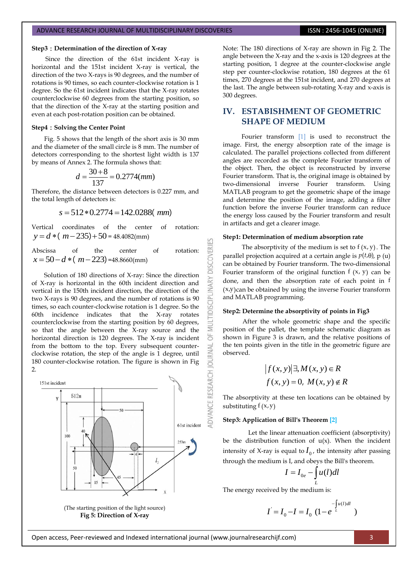#### **Step3**:**Determination of the direction of X-ray**

Since the direction of the 61st incident X-ray is horizontal and the 151st incident X-ray is vertical, the direction of the two X-rays is 90 degrees, and the number of rotations is 90 times, so each counter-clockwise rotation is 1 degree. So the 61st incident indicates that the X-ray rotates counterclockwise 60 degrees from the starting position, so that the direction of the X-ray at the starting position and even at each post-rotation position can be obtained.

#### **Step4**:**Solving the Center Point**

Fig. 5 shows that the length of the short axis is 30 mm and the diameter of the small circle is 8 mm. The number of detectors corresponding to the shortest light width is 137

by means of Annex 2. The formula shows that:  

$$
d = \frac{30 + 8}{137} = 0.2774 (mm)
$$

Therefore, the distance between detectors is 0.227 mm, and the total length of detectors is:

Length of detectors is:

\n
$$
s = 512 * 0.2774 = 142.0288 \, \text{mm}
$$

Vertical coordinates of the center of rotation:  $y = d * (m - 235) + 50 = 48.4082$ (mm)

Abscissa of the center of rotation:  $x = 50-d*(m-223) = 48.8660$ (mm)

Solution of 180 directions of X-ray: Since the direction of X-ray is horizontal in the 60th incident direction and vertical in the 150th incident direction, the direction of the two X-rays is 90 degrees, and the number of rotations is 90 times, so each counter-clockwise rotation is 1 degree. So the 60th incidence indicates that the X-ray rotates counterclockwise from the starting position by 60 degrees, so that the angle between the X-ray source and the horizontal direction is 120 degrees. The X-ray is incident from the bottom to the top. Every subsequent counterclockwise rotation, the step of the angle is 1 degree, until 180 counter-clockwise rotation. The figure is shown in Fig  $\mathcal{L}$ 



Note: The 180 directions of X-ray are shown in Fig 2. The angle between the X-ray and the x-axis is 120 degrees at the starting position, 1 degree at the counter-clockwise angle step per counter-clockwise rotation, 180 degrees at the 61 times, 270 degrees at the 151st incident, and 270 degrees at the last. The angle between sub-rotating X-ray and x-axis is 300 degrees.

# **IV. ESTABISHMENT OF GEOMETRIC SHAPE OF MEDIUM**

Fourier transform [1] is used to reconstruct the image. First, the energy absorption rate of the image is calculated. The parallel projections collected from different angles are recorded as the complete Fourier transform of the object. Then, the object is reconstructed by inverse Fourier transform. That is, the original image is obtained by two-dimensional inverse Fourier transform. Using MATLAB program to get the geometric shape of the image and determine the position of the image, adding a filter function before the inverse Fourier transform can reduce the energy loss caused by the Fourier transform and result in artifacts and get a clearer image.

#### **Step1: Determination of medium absorption rate**

53

**DISCOVERI** 

INARY

**IDISCIPL** 

MULTI 5

**JOURNAL** 

The absorptivity of the medium is set to  $f(x, y)$ . The parallel projection acquired at a certain angle is  $p(t,\theta)$ , p (u) can be obtained by Fourier transform. The two-dimensional Fourier transform of the original function  $f(x, y)$  can be done, and then the absorption rate of each point in f  $(x,y)$ can be obtained by using the inverse Fourier transform and MATLAB programming.

#### **Step2: Determine the absorptivity of points in Fig3**

After the whole geometric shape and the specific position of the pallet, the template schematic diagram as shown in Figure 3 is drawn, and the relative positions of the ten points given in the title in the geometric figure are observed.

$$
|f(x, y)| \exists, M(x, y) \in R
$$
  

$$
f(x, y) = 0, M(x, y) \notin R
$$

The absorptivity at these ten locations can be obtained by substituting  $f(x, y)$ 

### **Step3: Application of Bill's Theorem [2]**

Let the linear attenuation coefficient (absorptivity) be the distribution function of  $u(x)$ . When the incident intensity of X-ray is equal to  $I_0$ , the intensity after passing through the medium is I, and obeys the Bill's theorem.

$$
I = I_{0e} - \int_{L} u(l) dl
$$

The energy received by the medium is:

$$
I = I_0 - I = I_0 \left(1 - e^{-\int_u^1 u(l)dl}\right)
$$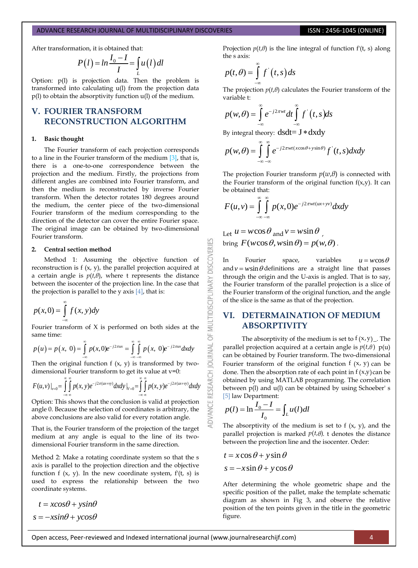After transformation, it is obtained that:  
\n
$$
P(l) = ln \frac{I_0 - I}{I} = \int_{L} u(l) dl
$$

Option: p(l) is projection data. Then the problem is transformed into calculating u(l) from the projection data p(l) to obtain the absorptivity function u(l) of the medium.

# **V. FOURIER TRANSFORM RECONSTRUCTION ALGORITHM**

#### **1. Basic thought**

The Fourier transform of each projection corresponds to a line in the Fourier transform of the medium [3], that is, there is a one-to-one correspondence between the projection and the medium. Firstly, the projections from different angles are combined into Fourier transform, and then the medium is reconstructed by inverse Fourier transform. When the detector rotates 180 degrees around the medium, the center piece of the two-dimensional Fourier transform of the medium corresponding to the direction of the detector can cover the entire Fourier space. The original image can be obtained by two-dimensional Fourier transform.

#### **2. Central section method**

Method 1: Assuming the objective function of reconstruction is f (x, y), the parallel projection acquired at a certain angle is  $p(t,\theta)$ , where t represents the distance between the isocenter of the projection line. In the case that the projection is parallel to the y axis  $[4]$ , that is:

$$
p(x,0) = \int_{-\infty}^{\infty} f(x,y) dy
$$

same time: 

Fourier transform of X is performed on both sides at the same time:  
\n
$$
p(u) = p(x, 0) = \int_{-\infty}^{\infty} p(x, 0)e^{-j2\pi ux} = \int_{-\infty}^{\infty} \int_{-\infty}^{\infty} p(x, 0)e^{-j2\pi ux} dx dy
$$

Then the original function  $f(x, y)$  is transformed by two-

Then the original function f (x, y) is transformed by two-  
dimensional Fourier transform to get its value at v=0:  

$$
F(u, v)|_{v=0} = \int_{-\infty}^{\infty} \int_{-\infty}^{\infty} p(x, y) e^{-j2\pi(ux+vy)} dx dy |_{v=0} = \int_{-\infty}^{\infty} \int_{-\infty}^{\infty} p(x, y) e^{-j2\pi(ux+vy)} dx dy
$$

Option: This shows that the conclusion is valid at projection angle 0. Because the selection of coordinates is arbitrary, the above conclusions are also valid for every rotation angle.

That is, the Fourier transform of the projection of the target medium at any angle is equal to the line of its twodimensional Fourier transform in the same direction.

Method 2: Make a rotating coordinate system so that the s axis is parallel to the projection direction and the objective function f  $(x, y)$ . In the new coordinate system,  $f'(t, s)$  is used to express the relationship between the two coordinate systems.

$$
t = x\cos\theta + y\sin\theta
$$

$$
s = -x\sin\theta + y\cos\theta
$$

Projection *p*(*t*,*θ*) is the line integral of function f'(t, s) along the s axis:

$$
p(t,\theta) = \int_{-\infty}^{\infty} f'(t,s) \, ds
$$

The projection  $p(t,\theta)$  calculates the Fourier transform of the variable t:  $\frac{1}{2}$ 

variable t:  
\n
$$
p(w,\theta) = \int_{-\infty}^{\infty} e^{-j2\pi w t} dt \int_{-\infty}^{\infty} f'(t,s) ds
$$

By integral theory:  $dsdt = J * dxdy$ 

By integral theory: 
$$
\text{dsdt} = \mathbf{J} * \text{dxdy}
$$
  
\n
$$
p(w, \theta) = \int_{-\infty}^{\infty} \int_{-\infty}^{\infty} e^{-j2\pi wt(x\cos\theta + y\sin\theta)} f'(t, s) dx dy
$$

The projection Fourier transform  $p(w,\theta)$  is connected with the Fourier transform of the original function  $f(x,y)$ . It can be obtained that:<br> $\infty$ 

be obtained that:  
\n
$$
F(u,v) = \int_{-\infty}^{\infty} \int_{-\infty}^{\infty} p(x,0)e^{-j2\pi wt(ux+yy)} dx dy
$$

Let  $u = w \cos \theta$  and  $v = w \sin \theta$ , Let  $u = w \cos \theta$  and  $v = w \sin \theta$ ,<br>bring  $F(w \cos \theta, w \sin \theta) = p(w, \theta)$ .

K

**DISCOVERI** 

INARY

MULTIDISCIPL

 $\overline{6}$ 

**JAWAL** 

**DVANCE RESEARCH** 

In Fourier space, variables  $u = w \cos \theta$ and  $v = w \sin \theta$  definitions are a straight line that passes through the origin and the U-axis is angled. That is to say, the Fourier transform of the parallel projection is a slice of the Fourier transform of the original function, and the angle of the slice is the same as that of the projection.

# **VI. DETERMAINATION OF MEDIUM ABSORPTIVITY**

The absorptivity of the medium is set to  $f(x,y)$ . The parallel projection acquired at a certain angle is  $p(t,\theta)$  p(u) can be obtained by Fourier transform. The two-dimensional Fourier transform of the original function  $f(x, y)$  can be done. Then the absorption rate of each point in  $f(x,y)$  can be obtained by using MATLAB programming. The correlation between p(l) and u(l) can be obtained by using Schoeber' s

[5] law Department:  
\n
$$
p(l) = \ln \frac{I_0 - I}{I_0} = \int_L u(l)dl
$$

The absorptivity of the medium is set to f  $(x, y)$ , and the parallel projection is marked  $p(t,\theta)$ . t denotes the distance between the projection line and the isocenter. Order:

$$
t = x\cos\theta + y\sin\theta
$$

$$
s = -x\sin\theta + y\cos\theta
$$

After determining the whole geometric shape and the specific position of the pallet, make the template schematic diagram as shown in Fig 3, and observe the relative position of the ten points given in the title in the geometric figure.

Open access, Peer-reviewed and Indexed international journal (www.journalresearchijf.com) 4